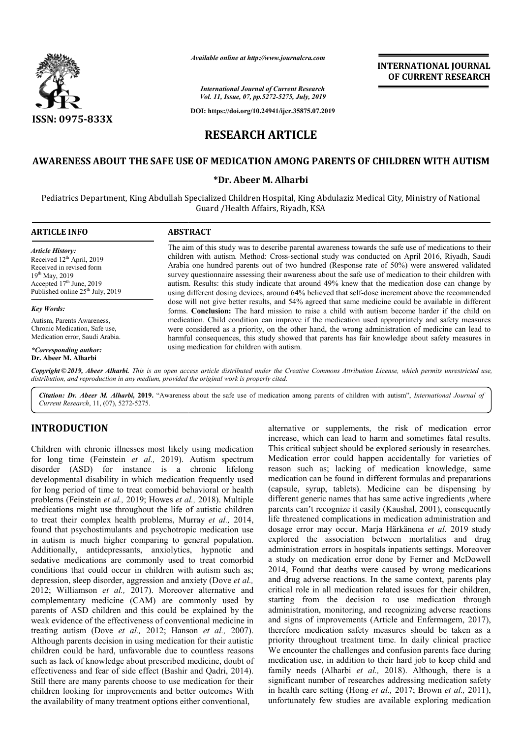

## **INTERNATIONAL JOURNAL OF CURRENT RESEARCH**

# **RESEARCH ARTICLE**

#### **AWARENESS ABOUT THE SAFE USE OF MEDICATION AMONG PARENTS OF CHILDREN WITH AUTISM THE SAFE USE AUTISM**

#### **\*Dr. Abeer M. Alharbi**

|                                                                                                                                                                                            | Available online at http://www.journalcra.com<br><b>International Journal of Current Research</b><br>Vol. 11, Issue, 07, pp.5272-5275, July, 2019<br>DOI: https://doi.org/10.24941/ijcr.35875.07.2019                                                                                                                                                                                                                                                                                                                                                                                                                       | <b>INTERNATIONAL JOURNAL</b><br>OF CURRENT RESEARCH |  |
|--------------------------------------------------------------------------------------------------------------------------------------------------------------------------------------------|-----------------------------------------------------------------------------------------------------------------------------------------------------------------------------------------------------------------------------------------------------------------------------------------------------------------------------------------------------------------------------------------------------------------------------------------------------------------------------------------------------------------------------------------------------------------------------------------------------------------------------|-----------------------------------------------------|--|
| <b>ISSN: 0975-833X</b>                                                                                                                                                                     |                                                                                                                                                                                                                                                                                                                                                                                                                                                                                                                                                                                                                             |                                                     |  |
|                                                                                                                                                                                            | <b>RESEARCH ARTICLE</b>                                                                                                                                                                                                                                                                                                                                                                                                                                                                                                                                                                                                     |                                                     |  |
|                                                                                                                                                                                            | AWARENESS ABOUT THE SAFE USE OF MEDICATION AMONG PARENTS OF CHILDREN WITH AUTISM                                                                                                                                                                                                                                                                                                                                                                                                                                                                                                                                            |                                                     |  |
|                                                                                                                                                                                            | *Dr. Abeer M. Alharbi                                                                                                                                                                                                                                                                                                                                                                                                                                                                                                                                                                                                       |                                                     |  |
|                                                                                                                                                                                            | Pediatrics Department, King Abdullah Specialized Children Hospital, King Abdulaziz Medical City, Ministry of National<br>Guard / Health Affairs, Riyadh, KSA                                                                                                                                                                                                                                                                                                                                                                                                                                                                |                                                     |  |
| <b>ARTICLE INFO</b>                                                                                                                                                                        | <b>ABSTRACT</b>                                                                                                                                                                                                                                                                                                                                                                                                                                                                                                                                                                                                             |                                                     |  |
| <b>Article History:</b><br>Received 12 <sup>th</sup> April, 2019<br>Received in revised form<br>19th May, 2019<br>Accepted 17th June, 2019<br>Published online 25 <sup>th</sup> July, 2019 | The aim of this study was to describe parental awareness towards the safe use of medications to their<br>children with autism. Method: Cross-sectional study was conducted on April 2016, Riyadh, Saudi<br>Arabia one hundred parents out of two hundred (Response rate of 50%) were answered validated<br>survey questionnaire assessing their awareness about the safe use of medication to their children with<br>autism. Results: this study indicate that around 49% knew that the medication dose can change by<br>using different dosing devices, around 64% believed that self-dose increment above the recommended |                                                     |  |
| <b>Key Words:</b>                                                                                                                                                                          | dose will not give better results, and 54% agreed that same medicine could be available in different<br>forms. Conclusion: The hard mission to raise a child with autism become harder if the child on                                                                                                                                                                                                                                                                                                                                                                                                                      |                                                     |  |
| Autism, Parents Awareness,<br>Chronic Medication, Safe use,<br>Medication error, Saudi Arabia.                                                                                             | medication. Child condition can improve if the medication used appropriately and safety measures<br>were considered as a priority, on the other hand, the wrong administration of medicine can lead to<br>harmful consequences, this study showed that parents has fair knowledge about safety measures in                                                                                                                                                                                                                                                                                                                  |                                                     |  |
| *Corresponding author:<br>Dr. Abeer M. Alharbi                                                                                                                                             | using medication for children with autism.                                                                                                                                                                                                                                                                                                                                                                                                                                                                                                                                                                                  |                                                     |  |
|                                                                                                                                                                                            | Copyright © 2019, Abeer Alharbi. This is an open access article distributed under the Creative Commons Attribution License, which permits unrestricted use,<br>distribution, and reproduction in any medium, provided the original work is properly cited.                                                                                                                                                                                                                                                                                                                                                                  |                                                     |  |
|                                                                                                                                                                                            | Citation: Dr. Abeer M. Alharbi, 2019. "Awareness about the safe use of medication among parents of children with autism", International Journal of                                                                                                                                                                                                                                                                                                                                                                                                                                                                          |                                                     |  |

Citation: Dr. Abeer M. Alharbi, 2019. "Awareness about the safe use of medication among parents of children with autism", *International Journal of Current Research*, 11, (07), 5272-5275.

### **INTRODUCTION**

Children with chronic illnesses most likely using medication for long time (Feinstein et al., 2019). Autism spectrum disorder (ASD) for instance is a chronic lifelong developmental disability in which medication frequently used for long period of time to treat comorbid behavioral or health problems (Feinstein *et al.,* 2019; Howes *et al.,*  2018). Multiple medications might use throughout the life of autistic children to treat their complex health problems, Murray *et al.,* 2014, found that psychostimulants and psychotropic medication use in autism is much higher comparing to general population. Additionally, antidepressants, anxiolytics, hypnotic and sedative medications are commonly used to treat comorbid conditions that could occur in children with autism such as; depression, sleep disorder, aggression and anxiety ( (Dove *et al.,*  2012; Williamson et al., 2017). Moreover alternative and complementary medicine (CAM) are commonly used by parents of ASD children and this could be explained by the weak evidence of the effectiveness of conventional medicine in treating autism (Dove *et al.,* 2012; Hanson *et al.,* 2007). Although parents decision in using medication for their autistic children could be hard, unfavorable due to countless reasons such as lack of knowledge about prescribed medicine, doubt of effectiveness and fear of side effect (Bashir and Qadri, 2014). Still there are many parents choose to use medication for their children looking for improvements and better outcomes With the availability of many treatment options either conventional,

**ITRODUCTION**<br>
alternative or supplementation error entropy<br>
internative or supplementation error into the rank of medication<br>
internative or supplementation error could happen accidents into<br>
it long time (Feinstein er a increase, which can lead to harm and sometimes fatal results. This critical subject should be explored seriously in researches. Medication error could happen accidentally for varieties of reason such as; lacking of medication knowledge, same medication can be found in different formulas and preparations (capsule, syrup, tablets). Medicine can be dispensing by different generic names that has same active ingredients ,where different generic names that has same active ingredients ,where parents can't recognize it easily (Kaushal, 2001), consequently life threatened complications in medication administration and dosage error may occur. Marja Härkänena et al. 2019 study explored the association between mortalities and drug administration errors in hospitals inpatients settings. Moreover a study on medication error done by Ferner and M 2014, Found that deaths were caused by wrong medications and drug adverse reactions. In the same context, parents play critical role in all medication related issues for their children, starting from the decision to use medication through administration, monitoring, and recognizing adverse reactions and signs of improvements (Article and Enfermagem, 2017). therefore medication safety measures should be taken as a priority throughout treatment time. In daily clinical practice We encounter the challenges and confusion parents face during medication use, in addition to their hard job to keep child and family needs (Alharbi *et al.*, 2018). Although, there is a significant number of researches addressing medication safety in health care setting (Hong *et al.*, 2017; Brown *et al.*, 2011), unfortunately few studies are available exploring medication native or supplements, the risk<br>ase, which can lead to harm and s<br>critical subject should be explored<br>cation error could happen accide<br>n such as; lacking of medicati een mortalities and drug<br>inpatients settings. Moreover<br>he by Ferner and McDowell critical role in all medication related issues for their children, starting from the decision to use medication through administration, monitoring, and recognizing adverse reactions and signs of improvements (Article and E priority throughout treatment time. In daily clinical practice We encounter the challenges and confusion parents face during medication use, in addition to their hard job to keep child and family needs (Alharbi *et al.*, 2 **INTERNATIONAL JOURNAL**<br> **OF CURRENT RESEARCH**<br> **OF CURRENT RESEARCH**<br> **CHEAD CONFORM WITH AUTISM**<br> **Explorime and the safe was of medications to their modulated on April 2016, Riyadh, Saudi rate of 50%) were answered val**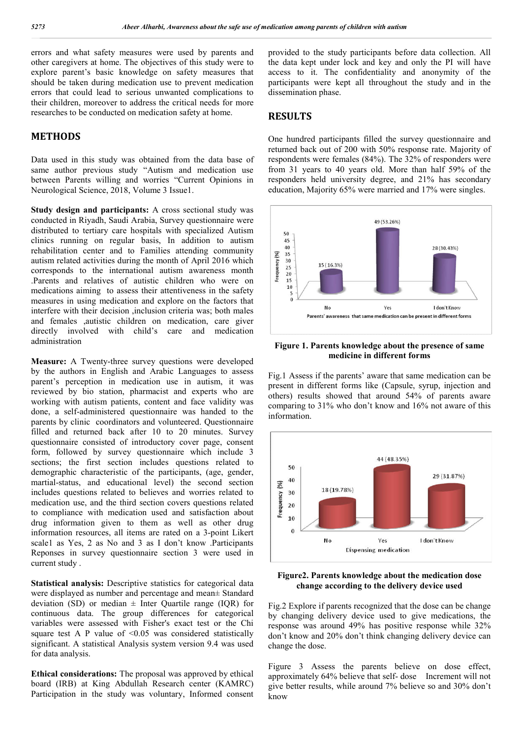errors and what safety measures were used by parents and other caregivers at home. The objectives of this study were to explore parent's basic knowledge on safety measures that should be taken during medication use to prevent medication errors that could lead to serious unwanted complications to their children, moreover to address the critical needs for more researches to be conducted on medication safety at home.

#### **METHODS**

Data used in this study was obtained from the data base of same author previous study "Autism and medication use between Parents willing and worries "Current Opinions in Neurological Science, 2018, Volume 3 Issue1.

**Study design and participants:** A cross sectional study was conducted in Riyadh, Saudi Arabia, Survey questionnaire were distributed to tertiary care hospitals with specialized Autism clinics running on regular basis, In addition to autism rehabilitation center and to Families attending community autism related activities during the month of April 2016 which corresponds to the international autism awareness month .Parents and relatives of autistic children who were on medications aiming to assess their attentiveness in the safety measures in using medication and explore on the factors that interfere with their decision ,inclusion criteria was; both males and females ,autistic children on medication, care giver directly involved with child's care and medication administration

**Measure:** A Twenty-three survey questions were developed by the authors in English and Arabic Languages to assess parent's perception in medication use in autism, it was reviewed by bio station, pharmacist and experts who are working with autism patients, content and face validity was done, a self-administered questionnaire was handed to the parents by clinic coordinators and volunteered. Questionnaire filled and returned back after 10 to 20 minutes. Survey questionnaire consisted of introductory cover page, consent form, followed by survey questionnaire which include 3 sections; the first section includes questions related to demographic characteristic of the participants, (age, gender, martial-status, and educational level) the second section includes questions related to believes and worries related to medication use, and the third section covers questions related to compliance with medication used and satisfaction about drug information given to them as well as other drug information resources, all items are rated on a 3-point Likert scale1 as Yes, 2 as No and 3 as I don't know .Participants Reponses in survey questionnaire section 3 were used in current study .

**Statistical analysis:** Descriptive statistics for categorical data were displayed as number and percentage and mean± Standard deviation (SD) or median  $\pm$  Inter Quartile range (IQR) for continuous data. The group differences for categorical variables were assessed with Fisher's exact test or the Chi square test A P value of  $\leq 0.05$  was considered statistically significant. A statistical Analysis system version 9.4 was used for data analysis.

**Ethical considerations:** The proposal was approved by ethical board (IRB) at King Abdullah Research center (KAMRC) Participation in the study was voluntary, Informed consent

provided to the study participants before data collection. All the data kept under lock and key and only the PI will have access to it. The confidentiality and anonymity of the participants were kept all throughout the study and in the dissemination phase.

#### **RESULTS**

One hundred participants filled the survey questionnaire and returned back out of 200 with 50% response rate. Majority of respondents were females (84%). The 32% of responders were from 31 years to 40 years old. More than half 59% of the responders held university degree, and 21% has secondary education, Majority 65% were married and 17% were singles.



**Figure 1. Parents knowledge about the presence of same medicine in different forms**

Fig.1 Assess if the parents' aware that same medication can be present in different forms like (Capsule, syrup, injection and others) results showed that around 54% of parents aware comparing to 31% who don't know and 16% not aware of this information.



**Figure2. Parents knowledge about the medication dose change according to the delivery device used**

Fig.2 Explore if parents recognized that the dose can be change by changing delivery device used to give medications, the response was around 49% has positive response while 32% don't know and 20% don't think changing delivery device can change the dose.

Figure 3 Assess the parents believe on dose effect, approximately 64% believe that self- dose Increment will not give better results, while around 7% believe so and 30% don't know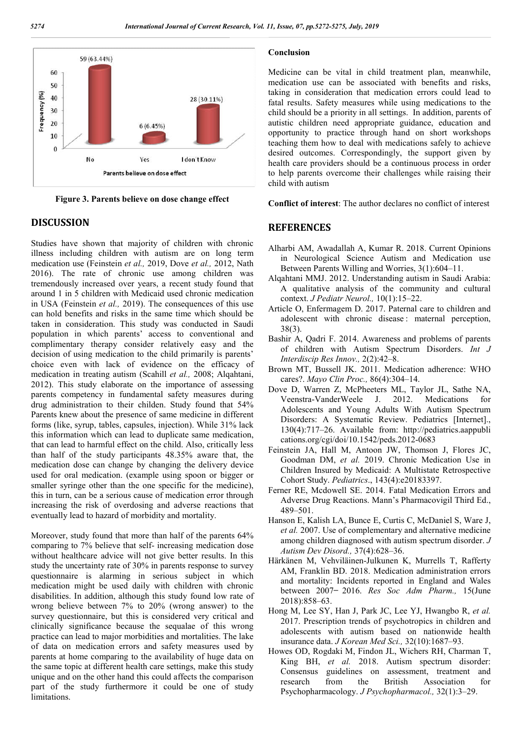

**Figure 3. Parents believe on dose change effect**

#### **DISCUSSION**

Studies have shown that majority of children with chronic illness including children with autism are on long term medication use (Feinstein *et al.,* 2019, Dove *et al.,* 2012, Nath 2016). The rate of chronic use among children was tremendously increased over years, a recent study found that around 1 in 5 children with Medicaid used chronic medication in USA (Feinstein *et al.,* 2019). The consequences of this use can hold benefits and risks in the same time which should be taken in consideration. This study was conducted in Saudi population in which parents' access to conventional and complimentary therapy consider relatively easy and the decision of using medication to the child primarily is parents' choice even with lack of evidence on the efficacy of medication in treating autism (Scahill *et al.,* 2008; Alqahtani, 2012). This study elaborate on the importance of assessing parents competency in fundamental safety measures during drug administration to their childen. Study found that 54% Parents knew about the presence of same medicine in different forms (like, syrup, tables, capsules, injection). While 31% lack this information which can lead to duplicate same medication, that can lead to harmful effect on the child. Also, critically less than half of the study participants 48.35% aware that, the medication dose can change by changing the delivery device used for oral medication. (example using spoon or bigger or smaller syringe other than the one specific for the medicine), this in turn, can be a serious cause of medication error through increasing the risk of overdosing and adverse reactions that eventually lead to hazard of morbidity and mortality.

Moreover, study found that more than half of the parents 64% comparing to 7% believe that self- increasing medication dose without healthcare advice will not give better results. In this study the uncertainty rate of 30% in parents response to survey questionnaire is alarming in serious subject in which medication might be used daily with children with chronic disabilities. In addition, although this study found low rate of wrong believe between 7% to 20% (wrong answer) to the survey questionnaire, but this is considered very critical and clinically significance because the sequalae of this wrong practice can lead to major morbidities and mortalities. The lake of data on medication errors and safety measures used by parents at home comparing to the availability of huge data on the same topic at different health care settings, make this study unique and on the other hand this could affects the comparison part of the study furthermore it could be one of study limitations.

#### **Conclusion**

Medicine can be vital in child treatment plan, meanwhile, medication use can be associated with benefits and risks, taking in consideration that medication errors could lead to fatal results. Safety measures while using medications to the child should be a priority in all settings. In addition, parents of autistic children need appropriate guidance, education and opportunity to practice through hand on short workshops teaching them how to deal with medications safely to achieve desired outcomes. Correspondingly, the support given by health care providers should be a continuous process in order to help parents overcome their challenges while raising their child with autism

**Conflict of interest**: The author declares no conflict of interest

#### **REFERENCES**

- Alharbi AM, Awadallah A, Kumar R. 2018. Current Opinions in Neurological Science Autism and Medication use Between Parents Willing and Worries, 3(1):604–11.
- Alqahtani MMJ. 2012. Understanding autism in Saudi Arabia: A qualitative analysis of the community and cultural context. *J Pediatr Neurol.,* 10(1):15–22.
- Article O, Enfermagem D. 2017. Paternal care to children and adolescent with chronic disease : maternal perception, 38(3).
- Bashir A, Qadri F. 2014. Awareness and problems of parents of children with Autism Spectrum Disorders. *Int J Interdiscip Res Innov.,* 2(2):42–8.
- Brown MT, Bussell JK. 2011. Medication adherence: WHO cares?. *Mayo Clin Proc.,* 86(4):304–14.
- Dove D, Warren Z, McPheeters ML, Taylor JL, Sathe NA,<br>Veenstra-VanderWeele J. 2012. Medications for Veenstra-VanderWeele J. 2012. Medications for Adolescents and Young Adults With Autism Spectrum Disorders: A Systematic Review. Pediatrics [Internet]., 130(4):717–26. Available from: http://pediatrics.aappubli cations.org/cgi/doi/10.1542/peds.2012-0683
- Feinstein JA, Hall M, Antoon JW, Thomson J, Flores JC, Goodman DM, *et al.* 2019. Chronic Medication Use in Children Insured by Medicaid: A Multistate Retrospective Cohort Study. *Pediatrics*., 143(4):e20183397.
- Ferner RE, Mcdowell SE. 2014. Fatal Medication Errors and Adverse Drug Reactions. Mann's Pharmacovigil Third Ed., 489–501.
- Hanson E, Kalish LA, Bunce E, Curtis C, McDaniel S, Ware J, *et al.* 2007. Use of complementary and alternative medicine among children diagnosed with autism spectrum disorder. *J Autism Dev Disord.,* 37(4):628–36.
- Härkänen M, Vehviläinen-Julkunen K, Murrells T, Rafferty AM, Franklin BD. 2018. Medication administration errors and mortality: Incidents reported in England and Wales between 2007-2016. Res Soc Adm Pharm., 15(June 2018):858–63.
- Hong M, Lee SY, Han J, Park JC, Lee YJ, Hwangbo R, *et al.*  2017. Prescription trends of psychotropics in children and adolescents with autism based on nationwide health insurance data. *J Korean Med Sci.,* 32(10):1687–93.
- Howes OD, Rogdaki M, Findon JL, Wichers RH, Charman T, King BH, *et al.* 2018. Autism spectrum disorder: Consensus guidelines on assessment, treatment and research from the British Association for Psychopharmacology. *J Psychopharmacol.,* 32(1):3–29.